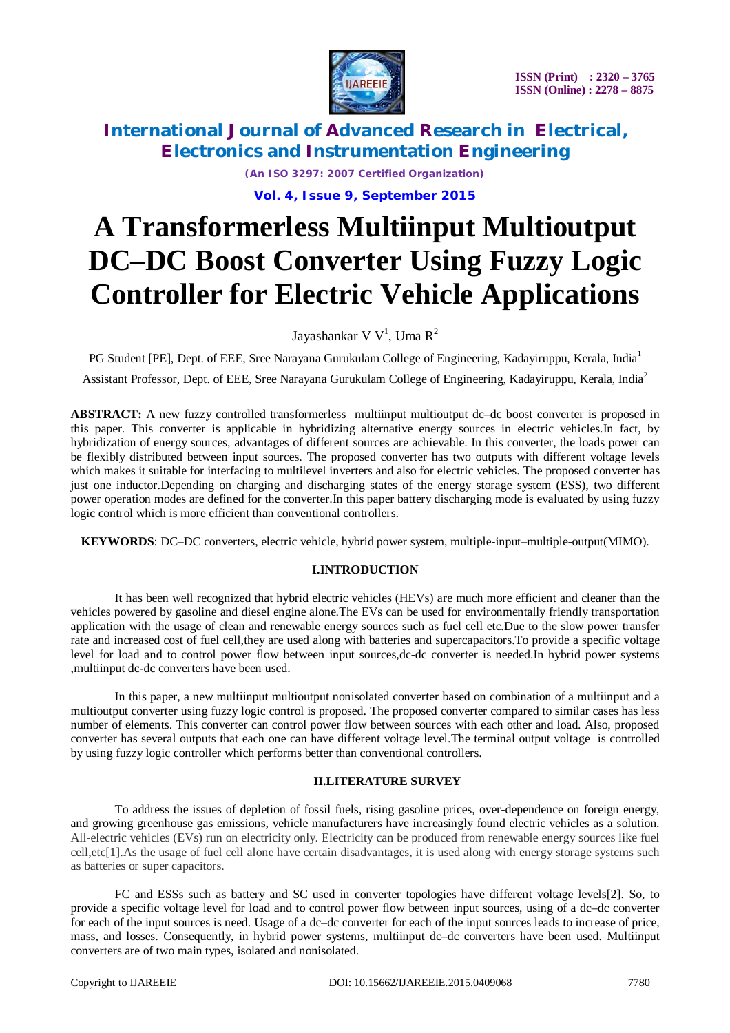

*(An ISO 3297: 2007 Certified Organization)* **Vol. 4, Issue 9, September 2015**

# **A Transformerless Multiinput Multioutput DC–DC Boost Converter Using Fuzzy Logic Controller for Electric Vehicle Applications**

Jayashankar V $\rm\,V^1$ , Uma  $\rm\,R^2$ 

PG Student [PE], Dept. of EEE, Sree Narayana Gurukulam College of Engineering, Kadayiruppu, Kerala, India<sup>1</sup>

Assistant Professor, Dept. of EEE, Sree Narayana Gurukulam College of Engineering, Kadayiruppu, Kerala, India<sup>2</sup>

**ABSTRACT:** A new fuzzy controlled transformerless multiinput multioutput dc–dc boost converter is proposed in this paper. This converter is applicable in hybridizing alternative energy sources in electric vehicles.In fact, by hybridization of energy sources, advantages of different sources are achievable. In this converter, the loads power can be flexibly distributed between input sources. The proposed converter has two outputs with different voltage levels which makes it suitable for interfacing to multilevel inverters and also for electric vehicles. The proposed converter has just one inductor.Depending on charging and discharging states of the energy storage system (ESS), two different power operation modes are defined for the converter.In this paper battery discharging mode is evaluated by using fuzzy logic control which is more efficient than conventional controllers.

**KEYWORDS**: DC–DC converters, electric vehicle, hybrid power system, multiple-input–multiple-output(MIMO).

## **I.INTRODUCTION**

It has been well recognized that hybrid electric vehicles (HEVs) are much more efficient and cleaner than the vehicles powered by gasoline and diesel engine alone.The EVs can be used for environmentally friendly transportation application with the usage of clean and renewable energy sources such as fuel cell etc.Due to the slow power transfer rate and increased cost of fuel cell,they are used along with batteries and supercapacitors.To provide a specific voltage level for load and to control power flow between input sources,dc-dc converter is needed.In hybrid power systems ,multiinput dc-dc converters have been used.

In this paper, a new multiinput multioutput nonisolated converter based on combination of a multiinput and a multioutput converter using fuzzy logic control is proposed. The proposed converter compared to similar cases has less number of elements. This converter can control power flow between sources with each other and load. Also, proposed converter has several outputs that each one can have different voltage level.The terminal output voltage is controlled by using fuzzy logic controller which performs better than conventional controllers.

### **II.LITERATURE SURVEY**

To address the issues of depletion of fossil fuels, rising gasoline prices, over-dependence on foreign energy, and growing greenhouse gas emissions, vehicle manufacturers have increasingly found electric vehicles as a solution. All-electric vehicles (EVs) run on electricity only. Electricity can be produced from renewable energy sources like fuel cell,etc[1].As the usage of fuel cell alone have certain disadvantages, it is used along with energy storage systems such as batteries or super capacitors.

FC and ESSs such as battery and SC used in converter topologies have different voltage levels[2]. So, to provide a specific voltage level for load and to control power flow between input sources, using of a dc–dc converter for each of the input sources is need. Usage of a dc–dc converter for each of the input sources leads to increase of price, mass, and losses. Consequently, in hybrid power systems, multiinput dc–dc converters have been used. Multiinput converters are of two main types, isolated and nonisolated.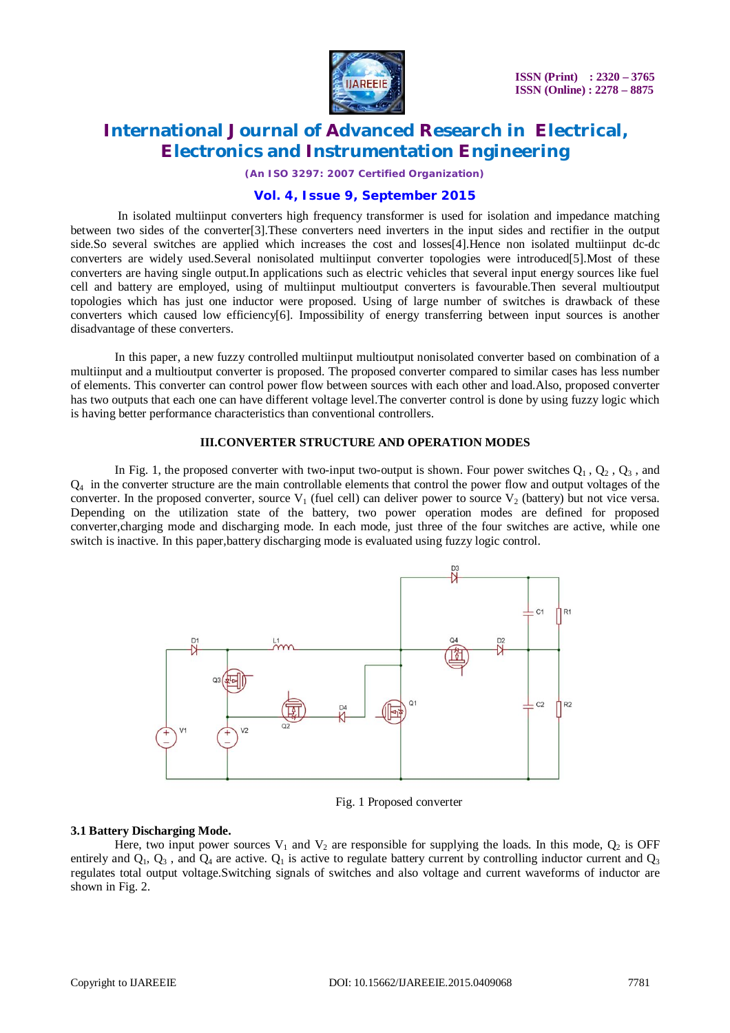

*(An ISO 3297: 2007 Certified Organization)*

### **Vol. 4, Issue 9, September 2015**

In isolated multiinput converters high frequency transformer is used for isolation and impedance matching between two sides of the converter[3].These converters need inverters in the input sides and rectifier in the output side.So several switches are applied which increases the cost and losses[4].Hence non isolated multiinput dc-dc converters are widely used.Several nonisolated multiinput converter topologies were introduced[5].Most of these converters are having single output.In applications such as electric vehicles that several input energy sources like fuel cell and battery are employed, using of multiinput multioutput converters is favourable.Then several multioutput topologies which has just one inductor were proposed. Using of large number of switches is drawback of these converters which caused low efficiency[6]. Impossibility of energy transferring between input sources is another disadvantage of these converters.

In this paper, a new fuzzy controlled multiinput multioutput nonisolated converter based on combination of a multiinput and a multioutput converter is proposed. The proposed converter compared to similar cases has less number of elements. This converter can control power flow between sources with each other and load.Also, proposed converter has two outputs that each one can have different voltage level.The converter control is done by using fuzzy logic which is having better performance characteristics than conventional controllers.

#### **III.CONVERTER STRUCTURE AND OPERATION MODES**

In Fig. 1, the proposed converter with two-input two-output is shown. Four power switches  $Q_1$ ,  $Q_2$ ,  $Q_3$ , and  $Q_4$  in the converter structure are the main controllable elements that control the power flow and output voltages of the converter. In the proposed converter, source  $V_1$  (fuel cell) can deliver power to source  $V_2$  (battery) but not vice versa. Depending on the utilization state of the battery, two power operation modes are defined for proposed converter,charging mode and discharging mode. In each mode, just three of the four switches are active, while one switch is inactive. In this paper,battery discharging mode is evaluated using fuzzy logic control.



Fig. 1 Proposed converter

#### **3.1 Battery Discharging Mode.**

Here, two input power sources  $V_1$  and  $V_2$  are responsible for supplying the loads. In this mode,  $Q_2$  is OFF entirely and  $Q_1$ ,  $Q_3$ , and  $Q_4$  are active.  $Q_1$  is active to regulate battery current by controlling inductor current and  $Q_3$ regulates total output voltage.Switching signals of switches and also voltage and current waveforms of inductor are shown in Fig. 2.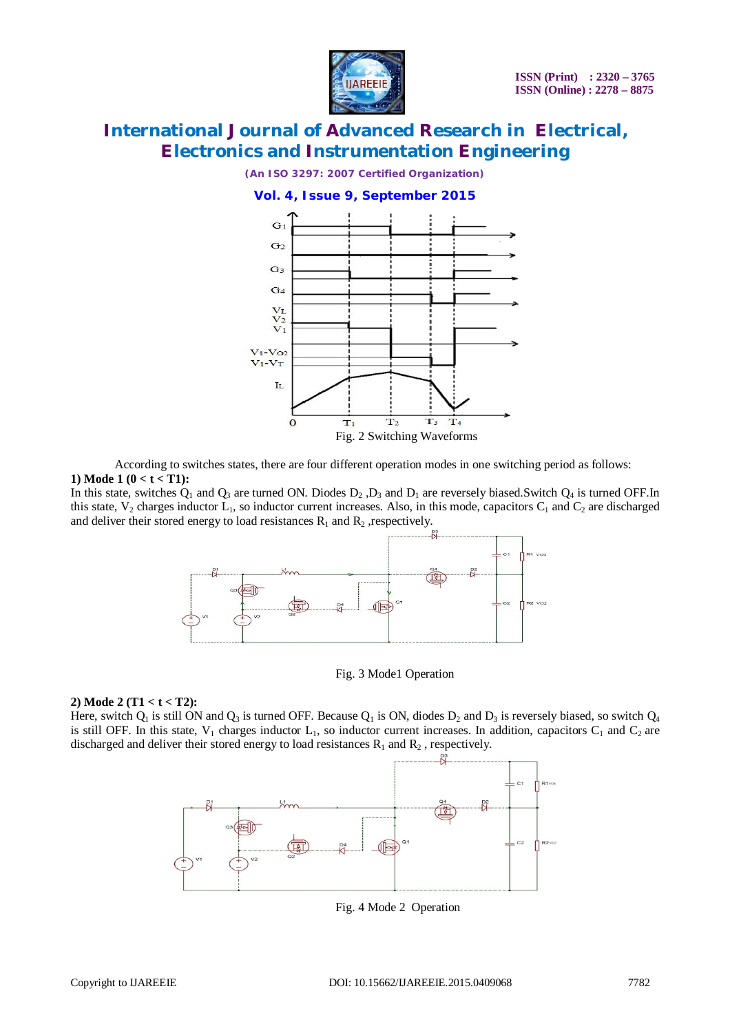

*(An ISO 3297: 2007 Certified Organization)*





According to switches states, there are four different operation modes in one switching period as follows: **1) Mode 1 (0 < t < T1):**

In this state, switches  $Q_1$  and  $Q_3$  are turned ON. Diodes  $D_2$ ,  $D_3$  and  $D_1$  are reversely biased. Switch  $Q_4$  is turned OFF. In this state,  $V_2$  charges inductor  $L_1$ , so inductor current increases. Also, in this mode, capacitors  $C_1$  and  $C_2$  are discharged and deliver their stored energy to load resistances  $R_1$  and  $R_2$  , respectively.



Fig. 3 Mode1 Operation

#### **2) Mode 2 (T1 < t < T2):**

Here, switch  $Q_1$  is still ON and  $Q_3$  is turned OFF. Because  $Q_1$  is ON, diodes  $D_2$  and  $D_3$  is reversely biased, so switch  $Q_4$ is still OFF. In this state,  $V_1$  charges inductor  $L_1$ , so inductor current increases. In addition, capacitors  $C_1$  and  $C_2$  are discharged and deliver their stored energy to load resistances  $R_1$  and  $R_2$ , respectively.



Fig. 4 Mode 2 Operation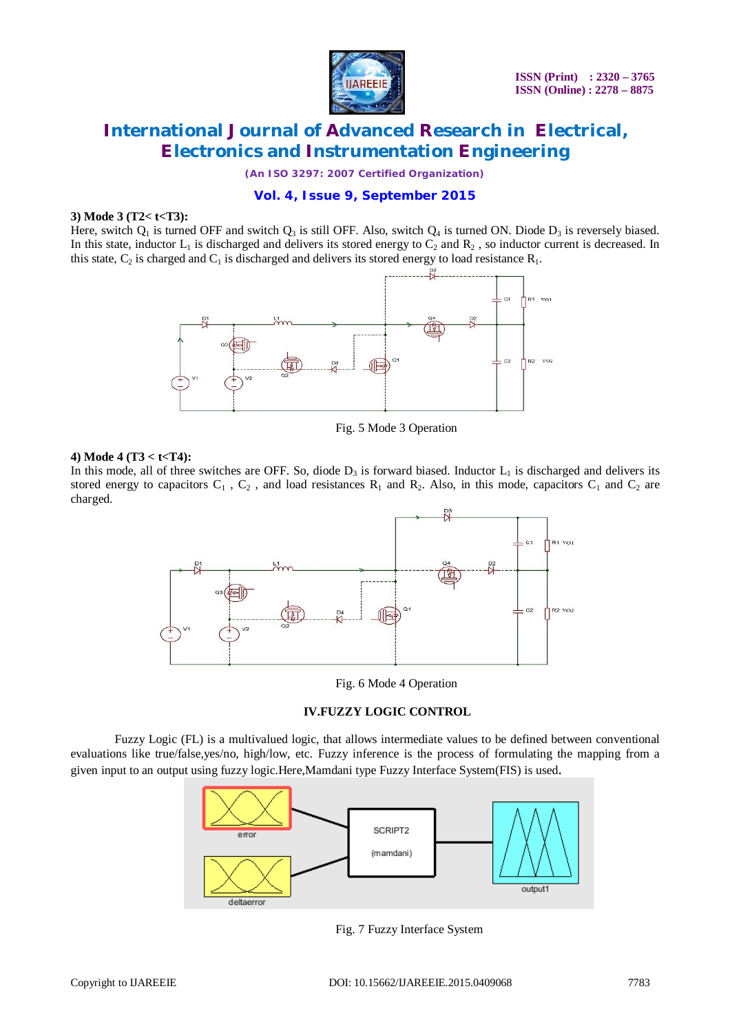

*(An ISO 3297: 2007 Certified Organization)*

### **Vol. 4, Issue 9, September 2015**

#### **3) Mode 3 (T2< t<T3):**

Here, switch  $Q_1$  is turned OFF and switch  $Q_3$  is still OFF. Also, switch  $Q_4$  is turned ON. Diode  $D_3$  is reversely biased. In this state, inductor  $L_1$  is discharged and delivers its stored energy to  $C_2$  and  $R_2$ , so inductor current is decreased. In this state,  $C_2$  is charged and  $C_1$  is discharged and delivers its stored energy to load resistance  $R_1$ .



Fig. 5 Mode 3 Operation

#### **4) Mode 4 (T3 < t<T4):**

In this mode, all of three switches are OFF. So, diode  $D_3$  is forward biased. Inductor  $L_1$  is discharged and delivers its stored energy to capacitors  $C_1$ ,  $C_2$ , and load resistances  $R_1$  and  $R_2$ . Also, in this mode, capacitors  $C_1$  and  $C_2$  are charged.



Fig. 6 Mode 4 Operation

#### **IV.FUZZY LOGIC CONTROL**

Fuzzy Logic (FL) is a multivalued logic, that allows intermediate values to be defined between conventional evaluations like true/false,yes/no, high/low, etc. Fuzzy inference is the process of formulating the mapping from a given input to an output using fuzzy logic.Here,Mamdani type Fuzzy Interface System(FIS) is used.



Fig. 7 Fuzzy Interface System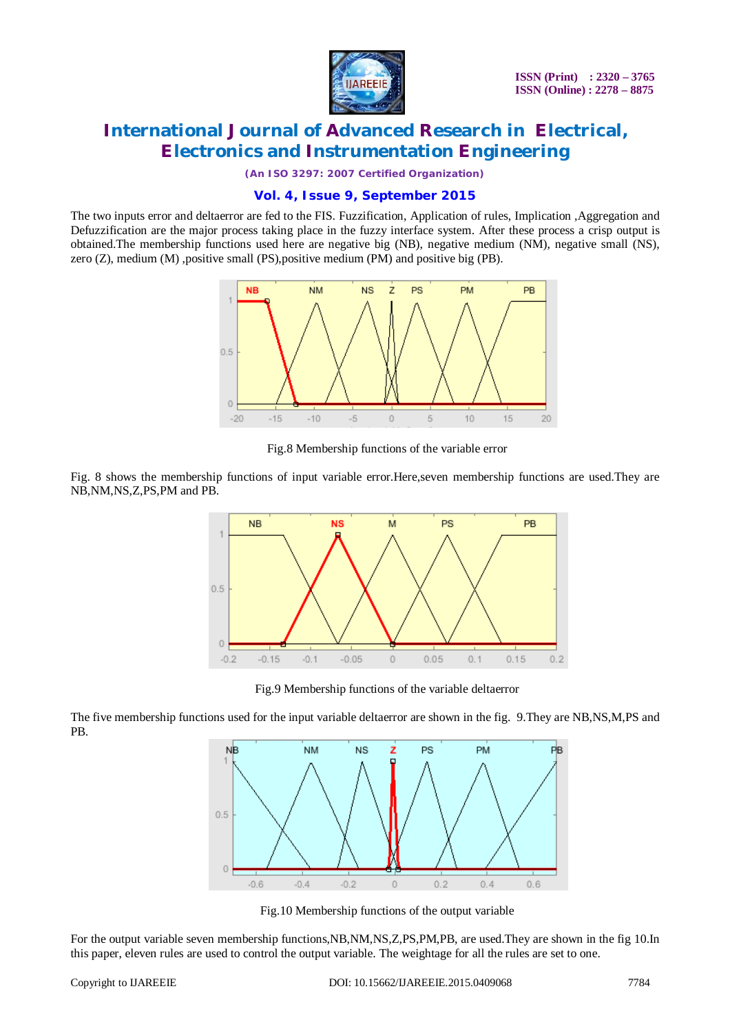

*(An ISO 3297: 2007 Certified Organization)*

### **Vol. 4, Issue 9, September 2015**

The two inputs error and deltaerror are fed to the FIS. Fuzzification, Application of rules, Implication ,Aggregation and Defuzzification are the major process taking place in the fuzzy interface system. After these process a crisp output is obtained.The membership functions used here are negative big (NB), negative medium (NM), negative small (NS), zero (Z), medium (M) ,positive small (PS),positive medium (PM) and positive big (PB).



Fig.8 Membership functions of the variable error

Fig. 8 shows the membership functions of input variable error.Here,seven membership functions are used.They are NB,NM,NS,Z,PS,PM and PB.



Fig.9 Membership functions of the variable deltaerror

The five membership functions used for the input variable deltaerror are shown in the fig. 9.They are NB,NS,M,PS and PB.



Fig.10 Membership functions of the output variable

For the output variable seven membership functions,NB,NM,NS,Z,PS,PM,PB, are used.They are shown in the fig 10.In this paper, eleven rules are used to control the output variable. The weightage for all the rules are set to one.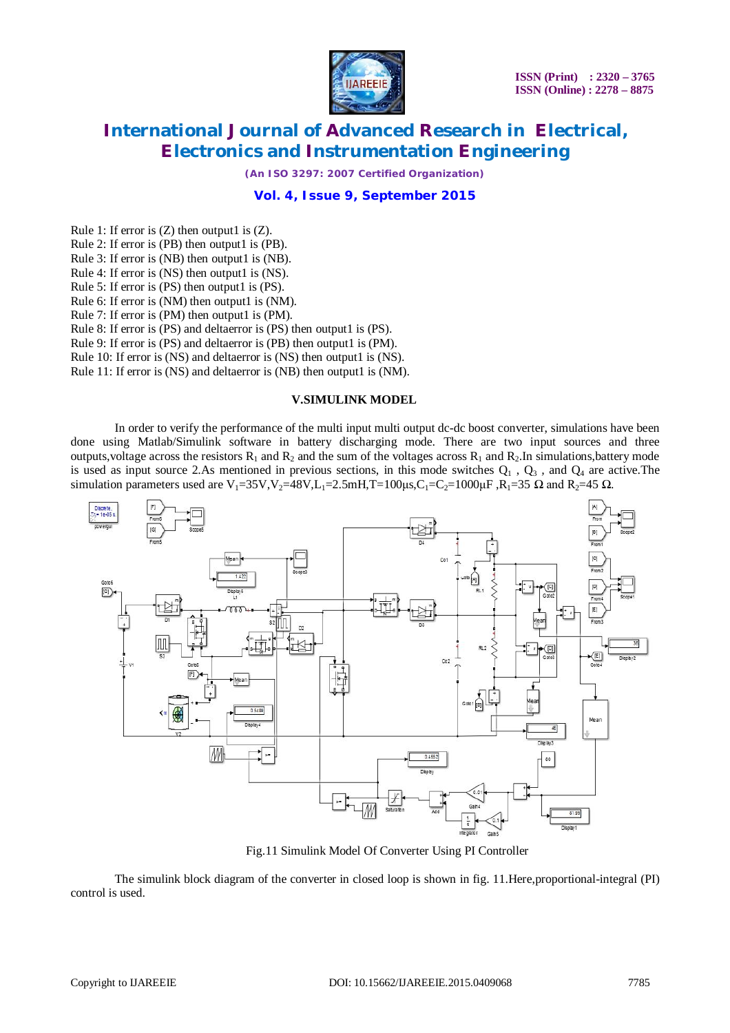

*(An ISO 3297: 2007 Certified Organization)*

### **Vol. 4, Issue 9, September 2015**

Rule 1: If error is  $(Z)$  then output1 is  $(Z)$ .

Rule 2: If error is (PB) then output1 is (PB).

Rule 3: If error is (NB) then output1 is (NB).

Rule 4: If error is (NS) then output1 is (NS).

Rule 5: If error is (PS) then output1 is (PS).

Rule 6: If error is (NM) then output1 is (NM).

Rule 7: If error is (PM) then output1 is (PM).

Rule 8: If error is (PS) and deltaerror is (PS) then output1 is (PS).

Rule 9: If error is (PS) and deltaerror is (PB) then output1 is (PM).

Rule 10: If error is (NS) and deltaerror is (NS) then output1 is (NS).

Rule 11: If error is (NS) and deltaerror is (NB) then output1 is (NM).

#### **V.SIMULINK MODEL**

In order to verify the performance of the multi input multi output dc-dc boost converter, simulations have been done using Matlab/Simulink software in battery discharging mode. There are two input sources and three outputs, voltage across the resistors  $R_1$  and  $R_2$  and the sum of the voltages across  $R_1$  and  $R_2$ . In simulations, battery mode is used as input source 2.As mentioned in previous sections, in this mode switches  $Q_1$ ,  $Q_3$ , and  $Q_4$  are active. The simulation parameters used are V<sub>1</sub>=35V,V<sub>2</sub>=48V,L<sub>1</sub>=2.5mH,T=100μs,C<sub>1</sub>=C<sub>2</sub>=1000μF,R<sub>1</sub>=35 Ω and R<sub>2</sub>=45 Ω.



Fig.11 Simulink Model Of Converter Using PI Controller

The simulink block diagram of the converter in closed loop is shown in fig. 11.Here,proportional-integral (PI) control is used.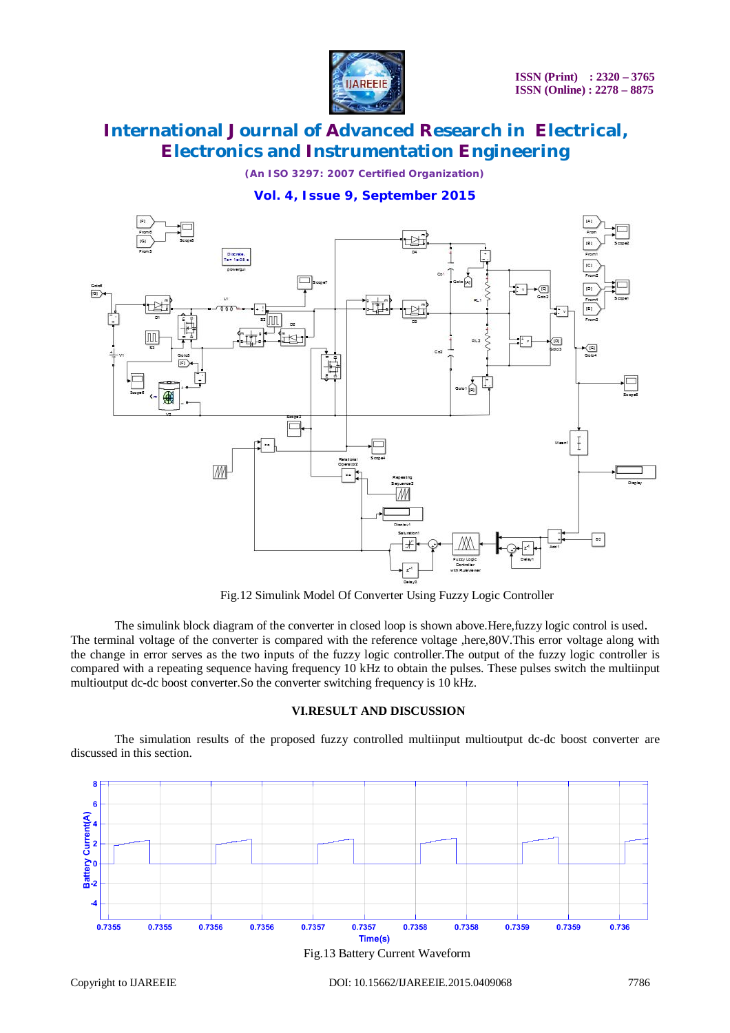

*(An ISO 3297: 2007 Certified Organization)*

# **Vol. 4, Issue 9, September 2015**



Fig.12 Simulink Model Of Converter Using Fuzzy Logic Controller

The simulink block diagram of the converter in closed loop is shown above.Here,fuzzy logic control is used. The terminal voltage of the converter is compared with the reference voltage ,here,80V.This error voltage along with the change in error serves as the two inputs of the fuzzy logic controller.The output of the fuzzy logic controller is compared with a repeating sequence having frequency 10 kHz to obtain the pulses. These pulses switch the multiinput multioutput dc-dc boost converter.So the converter switching frequency is 10 kHz.

### **VI.RESULT AND DISCUSSION**

The simulation results of the proposed fuzzy controlled multiinput multioutput dc-dc boost converter are discussed in this section.

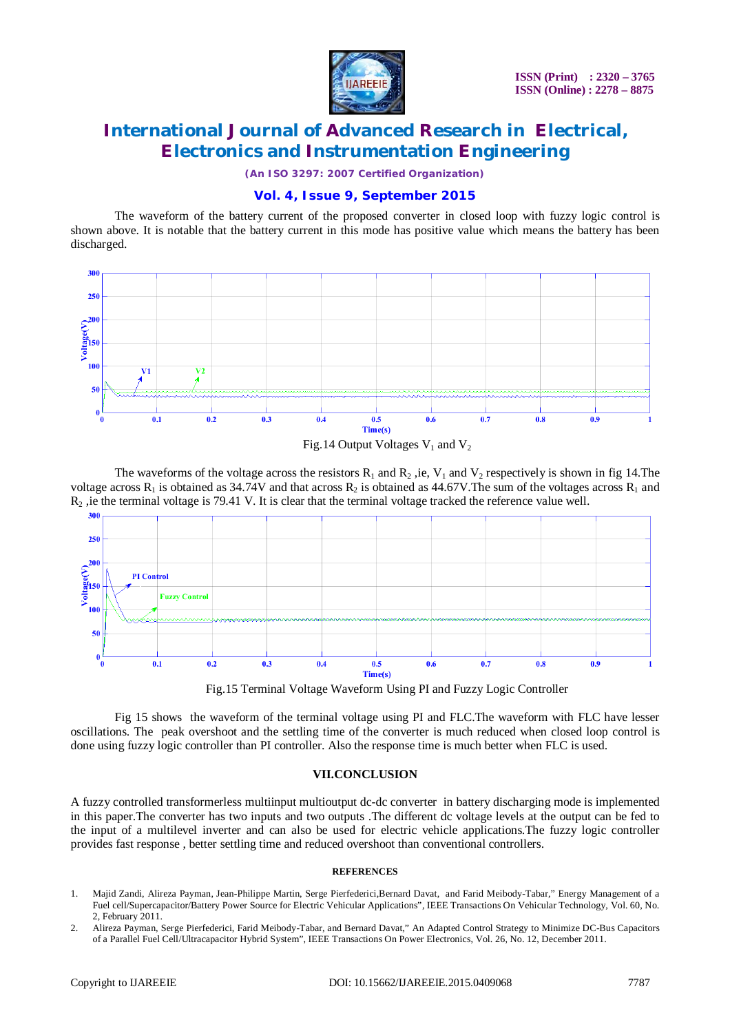

*(An ISO 3297: 2007 Certified Organization)*

### **Vol. 4, Issue 9, September 2015**

The waveform of the battery current of the proposed converter in closed loop with fuzzy logic control is shown above. It is notable that the battery current in this mode has positive value which means the battery has been discharged.





The waveforms of the voltage across the resistors  $R_1$  and  $R_2$ , ie,  $V_1$  and  $V_2$  respectively is shown in fig 14. The voltage across  $R_1$  is obtained as 34.74V and that across  $R_2$  is obtained as 44.67V. The sum of the voltages across  $R_1$  and  $R<sub>2</sub>$ , ie the terminal voltage is 79.41 V. It is clear that the terminal voltage tracked the reference value well.



Fig.15 Terminal Voltage Waveform Using PI and Fuzzy Logic Controller

Fig 15 shows the waveform of the terminal voltage using PI and FLC.The waveform with FLC have lesser oscillations. The peak overshoot and the settling time of the converter is much reduced when closed loop control is done using fuzzy logic controller than PI controller. Also the response time is much better when FLC is used.

### **VII.CONCLUSION**

A fuzzy controlled transformerless multiinput multioutput dc-dc converter in battery discharging mode is implemented in this paper.The converter has two inputs and two outputs .The different dc voltage levels at the output can be fed to the input of a multilevel inverter and can also be used for electric vehicle applications.The fuzzy logic controller provides fast response , better settling time and reduced overshoot than conventional controllers.

#### **REFERENCES**

- 1. Majid Zandi, Alireza Payman, Jean-Philippe Martin, Serge Pierfederici,Bernard Davat, and Farid Meibody-Tabar," Energy Management of a Fuel cell/Supercapacitor/Battery Power Source for Electric Vehicular Applications", IEEE Transactions On Vehicular Technology, Vol. 60, No. 2, February 2011.
- 2. Alireza Payman, Serge Pierfederici, Farid Meibody-Tabar, and Bernard Davat," An Adapted Control Strategy to Minimize DC-Bus Capacitors of a Parallel Fuel Cell/Ultracapacitor Hybrid System", IEEE Transactions On Power Electronics, Vol. 26, No. 12, December 2011.